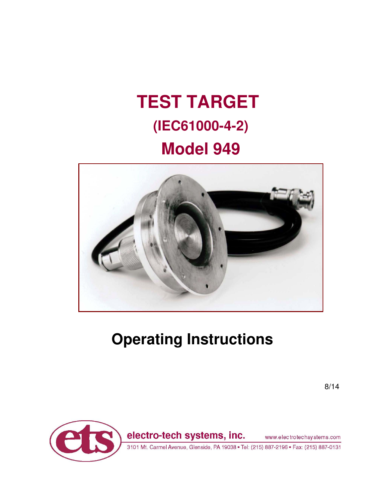# **TEST TARGET (IEC61000-4-2) Model 949**



# **Operating Instructions**

8/14



3101 Mt. Carmel Avenue, Glenside, PA 19038 · Tel: (215) 887-2196 · Fax: (215) 887-0131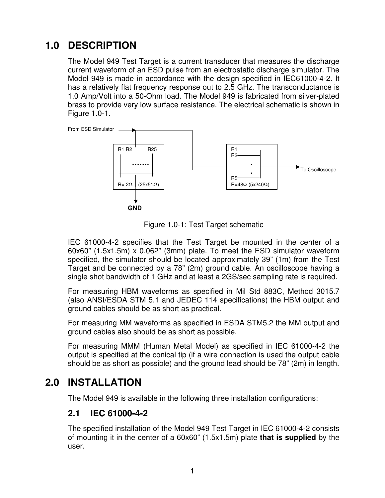## **1.0 DESCRIPTION**

The Model 949 Test Target is a current transducer that measures the discharge current waveform of an ESD pulse from an electrostatic discharge simulator. The Model 949 is made in accordance with the design specified in IEC61000-4-2. It has a relatively flat frequency response out to 2.5 GHz. The transconductance is 1.0 Amp/Volt into a 50-Ohm load. The Model 949 is fabricated from silver-plated brass to provide very low surface resistance. The electrical schematic is shown in Figure 1.0-1.



Figure 1.0-1: Test Target schematic

IEC 61000-4-2 specifies that the Test Target be mounted in the center of a 60x60" (1.5x1.5m) x 0.062" (3mm) plate. To meet the ESD simulator waveform specified, the simulator should be located approximately 39" (1m) from the Test Target and be connected by a 78" (2m) ground cable. An oscilloscope having a single shot bandwidth of 1 GHz and at least a 2GS/sec sampling rate is required.

For measuring HBM waveforms as specified in Mil Std 883C, Method 3015.7 (also ANSI/ESDA STM 5.1 and JEDEC 114 specifications) the HBM output and ground cables should be as short as practical.

For measuring MM waveforms as specified in ESDA STM5.2 the MM output and ground cables also should be as short as possible.

For measuring MMM (Human Metal Model) as specified in IEC 61000-4-2 the output is specified at the conical tip (if a wire connection is used the output cable should be as short as possible) and the ground lead should be 78" (2m) in length.

### **2.0 INSTALLATION**

The Model 949 is available in the following three installation configurations:

#### **2.1 IEC 61000-4-2**

The specified installation of the Model 949 Test Target in IEC 61000-4-2 consists of mounting it in the center of a 60x60" (1.5x1.5m) plate **that is supplied** by the user.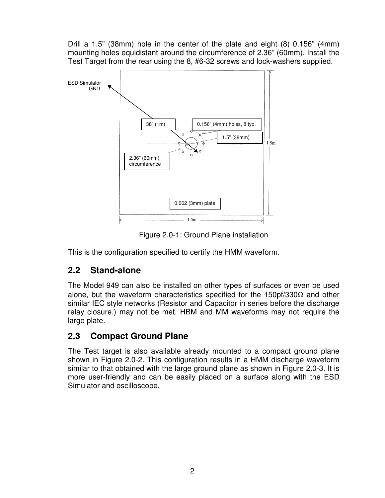Drill a 1.5" (38mm) hole in the center of the plate and eight (8) 0.156" (4mm) mounting holes equidistant around the circumference of 2.36" (60mm). Install the Test Target from the rear using the 8, #6-32 screws and lock-washers supplied.



Figure 2.0-1: Ground Plane installation

This is the configuration specified to certify the HMM waveform.

### **2.2 Stand-alone**

The Model 949 can also be installed on other types of surfaces or even be used alone, but the waveform characteristics specified for the 150pf/330 $\Omega$  and other similar IEC style networks (Resistor and Capacitor in series before the discharge relay closure.) may not be met. HBM and MM waveforms may not require the large plate.

#### **2.3 Compact Ground Plane**

The Test target is also available already mounted to a compact ground plane shown in Figure 2.0-2. This configuration results in a HMM discharge waveform similar to that obtained with the large ground plane as shown in Figure 2.0-3. It is more user-friendly and can be easily placed on a surface along with the ESD Simulator and oscilloscope.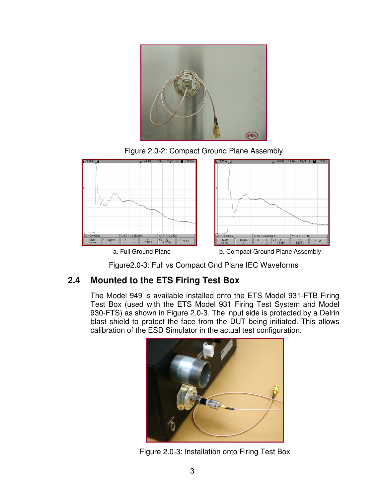

Figure 2.0-2: Compact Ground Plane Assembly



Figure2.0-3: Full vs Compact Gnd Plane IEC Waveforms

### **2.4 Mounted to the ETS Firing Test Box**

The Model 949 is available installed onto the ETS Model 931-FTB Firing Test Box (used with the ETS Model 931 Firing Test System and Model 930-FTS) as shown in Figure 2.0-3. The input side is protected by a Delrin blast shield to protect the face from the DUT being initiated. This allows calibration of the ESD Simulator in the actual test configuration.



Figure 2.0-3: Installation onto Firing Test Box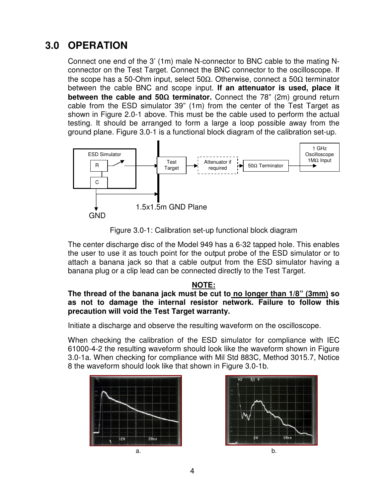## **3.0 OPERATION**

Connect one end of the 3' (1m) male N-connector to BNC cable to the mating Nconnector on the Test Target. Connect the BNC connector to the oscilloscope. If the scope has a 50-Ohm input, select 50Ω. Otherwise, connect a 50Ω terminator between the cable BNC and scope input. **If an attenuator is used, place it between the cable and 50**Ω **terminator.** Connect the 78" (2m) ground return cable from the ESD simulator 39" (1m) from the center of the Test Target as shown in Figure 2.0-1 above. This must be the cable used to perform the actual testing. It should be arranged to form a large a loop possible away from the ground plane. Figure 3.0-1 is a functional block diagram of the calibration set-up.



Figure 3.0-1: Calibration set-up functional block diagram

The center discharge disc of the Model 949 has a 6-32 tapped hole. This enables the user to use it as touch point for the output probe of the ESD simulator or to attach a banana jack so that a cable output from the ESD simulator having a banana plug or a clip lead can be connected directly to the Test Target.

#### **NOTE:**

#### **The thread of the banana jack must be cut to no longer than 1/8" (3mm) so as not to damage the internal resistor network. Failure to follow this precaution will void the Test Target warranty.**

Initiate a discharge and observe the resulting waveform on the oscilloscope.

When checking the calibration of the ESD simulator for compliance with IEC 61000-4-2 the resulting waveform should look like the waveform shown in Figure 3.0-1a. When checking for compliance with Mil Std 883C, Method 3015.7, Notice 8 the waveform should look like that shown in Figure 3.0-1b.